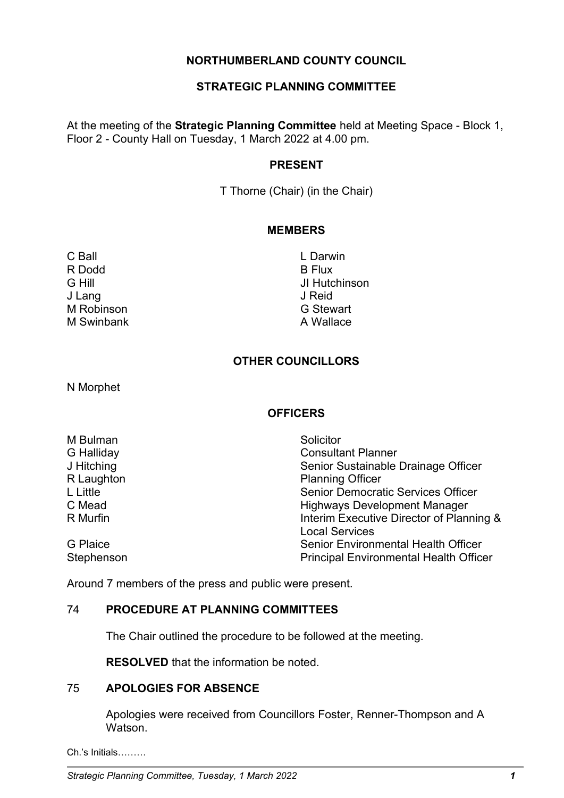# **NORTHUMBERLAND COUNTY COUNCIL**

# **STRATEGIC PLANNING COMMITTEE**

At the meeting of the **Strategic Planning Committee** held at Meeting Space - Block 1, Floor 2 - County Hall on Tuesday, 1 March 2022 at 4.00 pm.

### **PRESENT**

T Thorne (Chair) (in the Chair)

#### **MEMBERS**

- R Dodd B Flux J Lang J Reid M Robinson **G Stewart** M Swinbank **A Wallace**
- C Ball **C** Ball **C** Ball **C** Ball **C** Ball **C** Ball **C** Ball **C** Ball **C** Ball **C** Ball **C** Ball **C** Ball **C** Ball **C** Ball **C** Ball **C** Ball **C** Ball **C** Ball **C** Ball **C** Ball **C** Ball **C** Ball **C** Ball **C** Ball **C** Ball G Hill JI Hutchinson

# **OTHER COUNCILLORS**

N Morphet

### **OFFICERS**

| M Bulman        | Solicitor                                     |
|-----------------|-----------------------------------------------|
| G Halliday      | <b>Consultant Planner</b>                     |
| J Hitching      | Senior Sustainable Drainage Officer           |
| R Laughton      | <b>Planning Officer</b>                       |
| L Little        | <b>Senior Democratic Services Officer</b>     |
| C Mead          | <b>Highways Development Manager</b>           |
| R Murfin        | Interim Executive Director of Planning &      |
|                 | <b>Local Services</b>                         |
| <b>G</b> Plaice | <b>Senior Environmental Health Officer</b>    |
| Stephenson      | <b>Principal Environmental Health Officer</b> |

Around 7 members of the press and public were present.

### 74 **PROCEDURE AT PLANNING COMMITTEES**

The Chair outlined the procedure to be followed at the meeting.

**RESOLVED** that the information be noted.

### 75 **APOLOGIES FOR ABSENCE**

Apologies were received from Councillors Foster, Renner-Thompson and A Watson.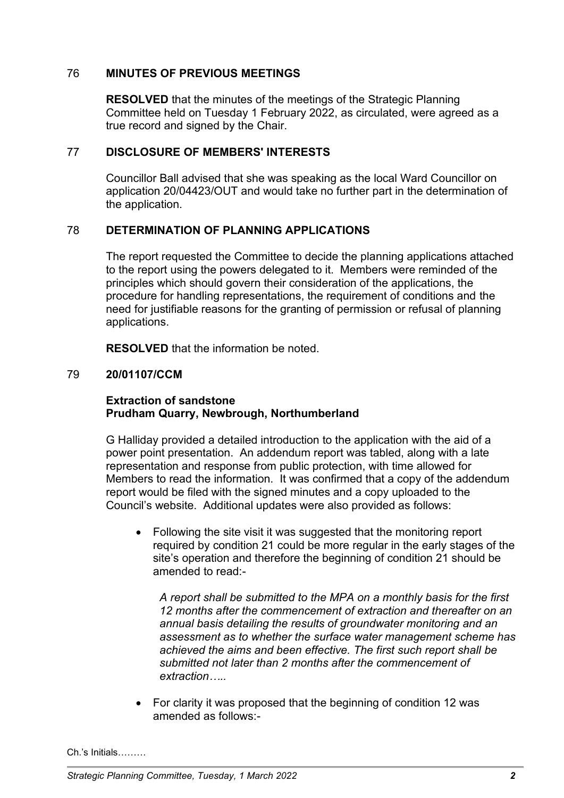# 76 **MINUTES OF PREVIOUS MEETINGS**

**RESOLVED** that the minutes of the meetings of the Strategic Planning Committee held on Tuesday 1 February 2022, as circulated, were agreed as a true record and signed by the Chair.

### 77 **DISCLOSURE OF MEMBERS' INTERESTS**

Councillor Ball advised that she was speaking as the local Ward Councillor on application 20/04423/OUT and would take no further part in the determination of the application.

# 78 **DETERMINATION OF PLANNING APPLICATIONS**

The report requested the Committee to decide the planning applications attached to the report using the powers delegated to it. Members were reminded of the principles which should govern their consideration of the applications, the procedure for handling representations, the requirement of conditions and the need for justifiable reasons for the granting of permission or refusal of planning applications.

**RESOLVED** that the information be noted.

### 79 **20/01107/CCM**

## **Extraction of sandstone Prudham Quarry, Newbrough, Northumberland**

G Halliday provided a detailed introduction to the application with the aid of a power point presentation. An addendum report was tabled, along with a late representation and response from public protection, with time allowed for Members to read the information. It was confirmed that a copy of the addendum report would be filed with the signed minutes and a copy uploaded to the Council's website. Additional updates were also provided as follows:

• Following the site visit it was suggested that the monitoring report required by condition 21 could be more regular in the early stages of the site's operation and therefore the beginning of condition 21 should be amended to read:-

*A report shall be submitted to the MPA on a monthly basis for the first 12 months after the commencement of extraction and thereafter on an annual basis detailing the results of groundwater monitoring and an assessment as to whether the surface water management scheme has achieved the aims and been effective. The first such report shall be submitted not later than 2 months after the commencement of extraction…..*

• For clarity it was proposed that the beginning of condition 12 was amended as follows:-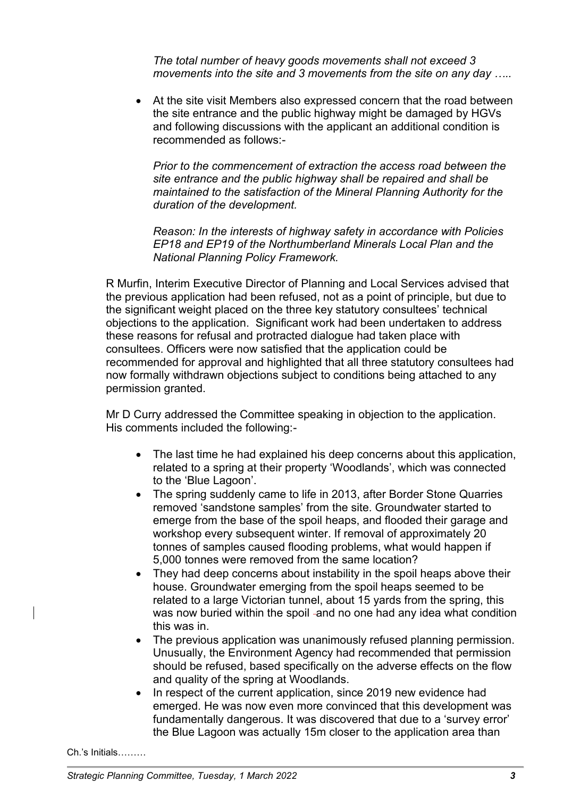*The total number of heavy goods movements shall not exceed 3 movements into the site and 3 movements from the site on any day …..*

• At the site visit Members also expressed concern that the road between the site entrance and the public highway might be damaged by HGVs and following discussions with the applicant an additional condition is recommended as follows:-

*Prior to the commencement of extraction the access road between the site entrance and the public highway shall be repaired and shall be maintained to the satisfaction of the Mineral Planning Authority for the duration of the development.*

*Reason: In the interests of highway safety in accordance with Policies EP18 and EP19 of the Northumberland Minerals Local Plan and the National Planning Policy Framework.* 

R Murfin, Interim Executive Director of Planning and Local Services advised that the previous application had been refused, not as a point of principle, but due to the significant weight placed on the three key statutory consultees' technical objections to the application. Significant work had been undertaken to address these reasons for refusal and protracted dialogue had taken place with consultees. Officers were now satisfied that the application could be recommended for approval and highlighted that all three statutory consultees had now formally withdrawn objections subject to conditions being attached to any permission granted.

Mr D Curry addressed the Committee speaking in objection to the application. His comments included the following:-

- The last time he had explained his deep concerns about this application, related to a spring at their property 'Woodlands', which was connected to the 'Blue Lagoon'.
- The spring suddenly came to life in 2013, after Border Stone Quarries removed 'sandstone samples' from the site. Groundwater started to emerge from the base of the spoil heaps, and flooded their garage and workshop every subsequent winter. If removal of approximately 20 tonnes of samples caused flooding problems, what would happen if 5,000 tonnes were removed from the same location?
- They had deep concerns about instability in the spoil heaps above their house. Groundwater emerging from the spoil heaps seemed to be related to a large Victorian tunnel, about 15 yards from the spring, this was now buried within the spoil -and no one had any idea what condition this was in.
- The previous application was unanimously refused planning permission. Unusually, the Environment Agency had recommended that permission should be refused, based specifically on the adverse effects on the flow and quality of the spring at Woodlands.
- In respect of the current application, since 2019 new evidence had emerged. He was now even more convinced that this development was fundamentally dangerous. It was discovered that due to a 'survey error' the Blue Lagoon was actually 15m closer to the application area than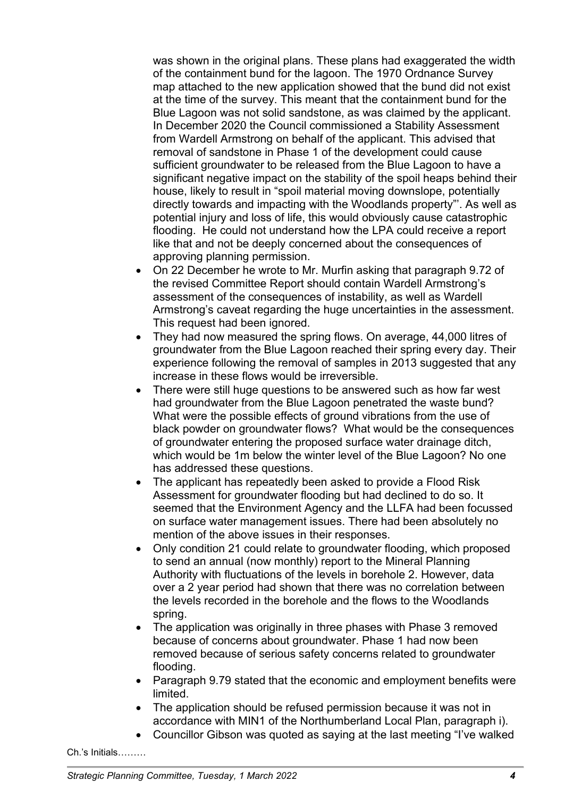was shown in the original plans. These plans had exaggerated the width of the containment bund for the lagoon. The 1970 Ordnance Survey map attached to the new application showed that the bund did not exist at the time of the survey. This meant that the containment bund for the Blue Lagoon was not solid sandstone, as was claimed by the applicant. In December 2020 the Council commissioned a Stability Assessment from Wardell Armstrong on behalf of the applicant. This advised that removal of sandstone in Phase 1 of the development could cause sufficient groundwater to be released from the Blue Lagoon to have a significant negative impact on the stability of the spoil heaps behind their house, likely to result in "spoil material moving downslope, potentially directly towards and impacting with the Woodlands property"'. As well as potential injury and loss of life, this would obviously cause catastrophic flooding. He could not understand how the LPA could receive a report like that and not be deeply concerned about the consequences of approving planning permission.

- On 22 December he wrote to Mr. Murfin asking that paragraph 9.72 of the revised Committee Report should contain Wardell Armstrong's assessment of the consequences of instability, as well as Wardell Armstrong's caveat regarding the huge uncertainties in the assessment. This request had been ignored.
- They had now measured the spring flows. On average, 44,000 litres of groundwater from the Blue Lagoon reached their spring every day. Their experience following the removal of samples in 2013 suggested that any increase in these flows would be irreversible.
- There were still huge questions to be answered such as how far west had groundwater from the Blue Lagoon penetrated the waste bund? What were the possible effects of ground vibrations from the use of black powder on groundwater flows? What would be the consequences of groundwater entering the proposed surface water drainage ditch, which would be 1m below the winter level of the Blue Lagoon? No one has addressed these questions.
- The applicant has repeatedly been asked to provide a Flood Risk Assessment for groundwater flooding but had declined to do so. It seemed that the Environment Agency and the LLFA had been focussed on surface water management issues. There had been absolutely no mention of the above issues in their responses.
- Only condition 21 could relate to groundwater flooding, which proposed to send an annual (now monthly) report to the Mineral Planning Authority with fluctuations of the levels in borehole 2. However, data over a 2 year period had shown that there was no correlation between the levels recorded in the borehole and the flows to the Woodlands spring.
- The application was originally in three phases with Phase 3 removed because of concerns about groundwater. Phase 1 had now been removed because of serious safety concerns related to groundwater flooding.
- Paragraph 9.79 stated that the economic and employment benefits were limited.
- The application should be refused permission because it was not in accordance with MIN1 of the Northumberland Local Plan, paragraph i).
- Councillor Gibson was quoted as saying at the last meeting "I've walked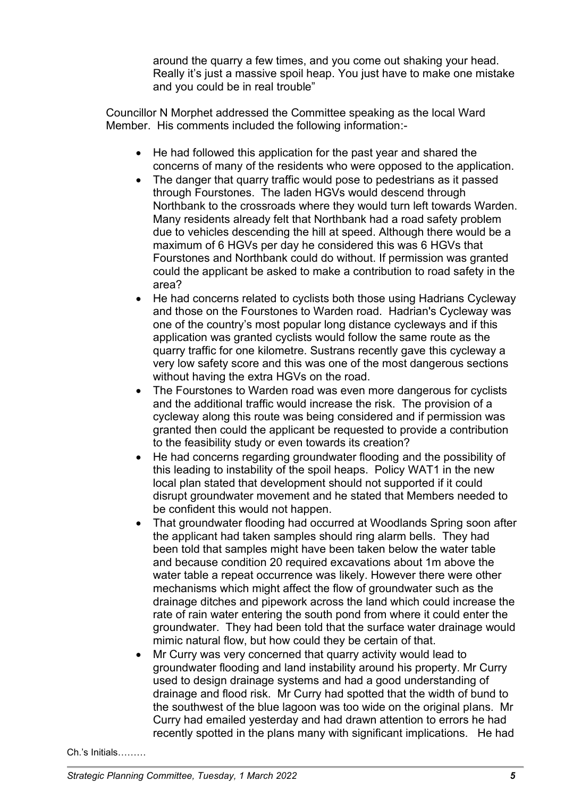around the quarry a few times, and you come out shaking your head. Really it's just a massive spoil heap. You just have to make one mistake and you could be in real trouble"

Councillor N Morphet addressed the Committee speaking as the local Ward Member. His comments included the following information:-

- He had followed this application for the past year and shared the concerns of many of the residents who were opposed to the application.
- The danger that quarry traffic would pose to pedestrians as it passed through Fourstones. The laden HGVs would descend through Northbank to the crossroads where they would turn left towards Warden. Many residents already felt that Northbank had a road safety problem due to vehicles descending the hill at speed. Although there would be a maximum of 6 HGVs per day he considered this was 6 HGVs that Fourstones and Northbank could do without. If permission was granted could the applicant be asked to make a contribution to road safety in the area?
- He had concerns related to cyclists both those using Hadrians Cycleway and those on the Fourstones to Warden road. Hadrian's Cycleway was one of the country's most popular long distance cycleways and if this application was granted cyclists would follow the same route as the quarry traffic for one kilometre. Sustrans recently gave this cycleway a very low safety score and this was one of the most dangerous sections without having the extra HGVs on the road.
- The Fourstones to Warden road was even more dangerous for cyclists and the additional traffic would increase the risk. The provision of a cycleway along this route was being considered and if permission was granted then could the applicant be requested to provide a contribution to the feasibility study or even towards its creation?
- He had concerns regarding groundwater flooding and the possibility of this leading to instability of the spoil heaps. Policy WAT1 in the new local plan stated that development should not supported if it could disrupt groundwater movement and he stated that Members needed to be confident this would not happen.
- That groundwater flooding had occurred at Woodlands Spring soon after the applicant had taken samples should ring alarm bells. They had been told that samples might have been taken below the water table and because condition 20 required excavations about 1m above the water table a repeat occurrence was likely. However there were other mechanisms which might affect the flow of groundwater such as the drainage ditches and pipework across the land which could increase the rate of rain water entering the south pond from where it could enter the groundwater. They had been told that the surface water drainage would mimic natural flow, but how could they be certain of that.
- Mr Curry was very concerned that quarry activity would lead to groundwater flooding and land instability around his property. Mr Curry used to design drainage systems and had a good understanding of drainage and flood risk. Mr Curry had spotted that the width of bund to the southwest of the blue lagoon was too wide on the original plans. Mr Curry had emailed yesterday and had drawn attention to errors he had recently spotted in the plans many with significant implications. He had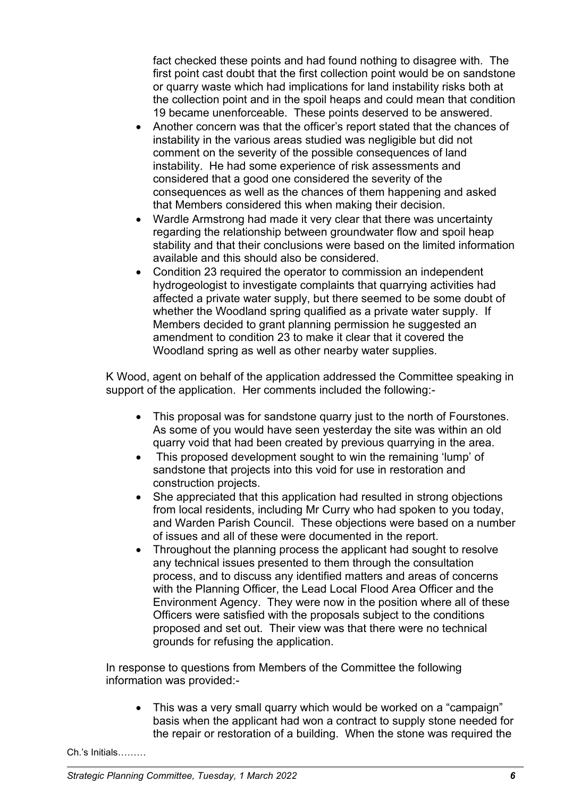fact checked these points and had found nothing to disagree with. The first point cast doubt that the first collection point would be on sandstone or quarry waste which had implications for land instability risks both at the collection point and in the spoil heaps and could mean that condition 19 became unenforceable. These points deserved to be answered.

- Another concern was that the officer's report stated that the chances of instability in the various areas studied was negligible but did not comment on the severity of the possible consequences of land instability. He had some experience of risk assessments and considered that a good one considered the severity of the consequences as well as the chances of them happening and asked that Members considered this when making their decision.
- Wardle Armstrong had made it very clear that there was uncertainty regarding the relationship between groundwater flow and spoil heap stability and that their conclusions were based on the limited information available and this should also be considered.
- Condition 23 required the operator to commission an independent hydrogeologist to investigate complaints that quarrying activities had affected a private water supply, but there seemed to be some doubt of whether the Woodland spring qualified as a private water supply. If Members decided to grant planning permission he suggested an amendment to condition 23 to make it clear that it covered the Woodland spring as well as other nearby water supplies.

K Wood, agent on behalf of the application addressed the Committee speaking in support of the application. Her comments included the following:-

- This proposal was for sandstone quarry just to the north of Fourstones. As some of you would have seen yesterday the site was within an old quarry void that had been created by previous quarrying in the area.
- This proposed development sought to win the remaining 'lump' of sandstone that projects into this void for use in restoration and construction projects.
- She appreciated that this application had resulted in strong objections from local residents, including Mr Curry who had spoken to you today, and Warden Parish Council. These objections were based on a number of issues and all of these were documented in the report.
- Throughout the planning process the applicant had sought to resolve any technical issues presented to them through the consultation process, and to discuss any identified matters and areas of concerns with the Planning Officer, the Lead Local Flood Area Officer and the Environment Agency. They were now in the position where all of these Officers were satisfied with the proposals subject to the conditions proposed and set out. Their view was that there were no technical grounds for refusing the application.

In response to questions from Members of the Committee the following information was provided:-

• This was a very small quarry which would be worked on a "campaign" basis when the applicant had won a contract to supply stone needed for the repair or restoration of a building. When the stone was required the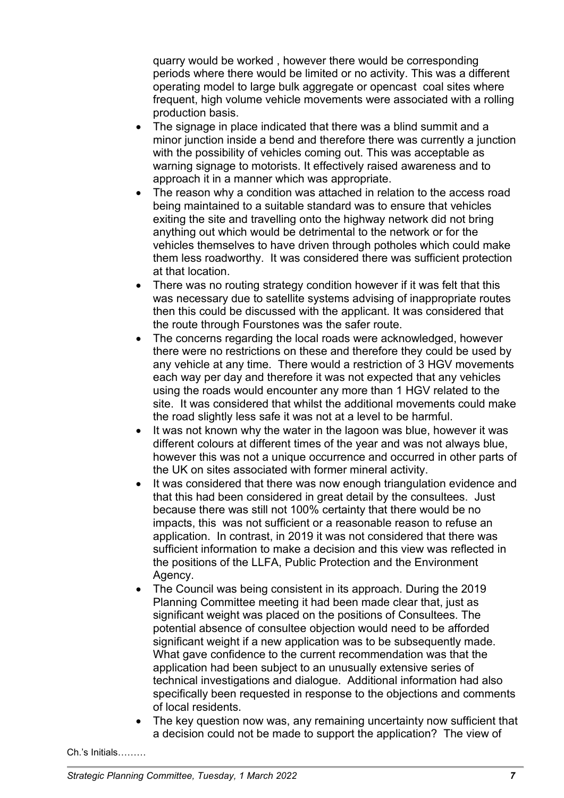quarry would be worked , however there would be corresponding periods where there would be limited or no activity. This was a different operating model to large bulk aggregate or opencast coal sites where frequent, high volume vehicle movements were associated with a rolling production basis.

- The signage in place indicated that there was a blind summit and a minor junction inside a bend and therefore there was currently a junction with the possibility of vehicles coming out. This was acceptable as warning signage to motorists. It effectively raised awareness and to approach it in a manner which was appropriate.
- The reason why a condition was attached in relation to the access road being maintained to a suitable standard was to ensure that vehicles exiting the site and travelling onto the highway network did not bring anything out which would be detrimental to the network or for the vehicles themselves to have driven through potholes which could make them less roadworthy. It was considered there was sufficient protection at that location.
- There was no routing strategy condition however if it was felt that this was necessary due to satellite systems advising of inappropriate routes then this could be discussed with the applicant. It was considered that the route through Fourstones was the safer route.
- The concerns regarding the local roads were acknowledged, however there were no restrictions on these and therefore they could be used by any vehicle at any time. There would a restriction of 3 HGV movements each way per day and therefore it was not expected that any vehicles using the roads would encounter any more than 1 HGV related to the site. It was considered that whilst the additional movements could make the road slightly less safe it was not at a level to be harmful.
- It was not known why the water in the lagoon was blue, however it was different colours at different times of the year and was not always blue, however this was not a unique occurrence and occurred in other parts of the UK on sites associated with former mineral activity.
- It was considered that there was now enough triangulation evidence and that this had been considered in great detail by the consultees. Just because there was still not 100% certainty that there would be no impacts, this was not sufficient or a reasonable reason to refuse an application. In contrast, in 2019 it was not considered that there was sufficient information to make a decision and this view was reflected in the positions of the LLFA, Public Protection and the Environment Agency.
- The Council was being consistent in its approach. During the 2019 Planning Committee meeting it had been made clear that, just as significant weight was placed on the positions of Consultees. The potential absence of consultee objection would need to be afforded significant weight if a new application was to be subsequently made. What gave confidence to the current recommendation was that the application had been subject to an unusually extensive series of technical investigations and dialogue. Additional information had also specifically been requested in response to the objections and comments of local residents.
- The key question now was, any remaining uncertainty now sufficient that a decision could not be made to support the application? The view of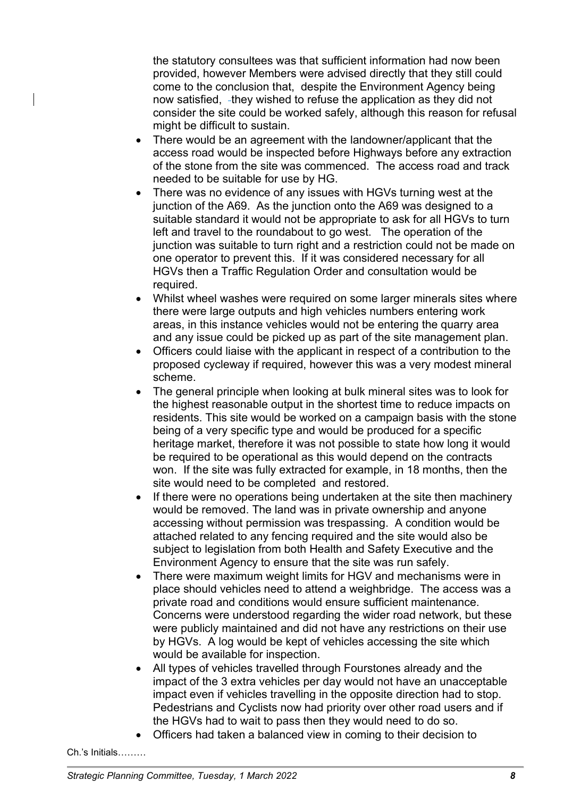the statutory consultees was that sufficient information had now been provided, however Members were advised directly that they still could come to the conclusion that, despite the Environment Agency being now satisfied, -they wished to refuse the application as they did not consider the site could be worked safely, although this reason for refusal might be difficult to sustain.

- There would be an agreement with the landowner/applicant that the access road would be inspected before Highways before any extraction of the stone from the site was commenced. The access road and track needed to be suitable for use by HG.
- There was no evidence of any issues with HGVs turning west at the junction of the A69. As the junction onto the A69 was designed to a suitable standard it would not be appropriate to ask for all HGVs to turn left and travel to the roundabout to go west. The operation of the junction was suitable to turn right and a restriction could not be made on one operator to prevent this. If it was considered necessary for all HGVs then a Traffic Regulation Order and consultation would be required.
- Whilst wheel washes were required on some larger minerals sites where there were large outputs and high vehicles numbers entering work areas, in this instance vehicles would not be entering the quarry area and any issue could be picked up as part of the site management plan.
- Officers could liaise with the applicant in respect of a contribution to the proposed cycleway if required, however this was a very modest mineral scheme.
- The general principle when looking at bulk mineral sites was to look for the highest reasonable output in the shortest time to reduce impacts on residents. This site would be worked on a campaign basis with the stone being of a very specific type and would be produced for a specific heritage market, therefore it was not possible to state how long it would be required to be operational as this would depend on the contracts won. If the site was fully extracted for example, in 18 months, then the site would need to be completed and restored.
- If there were no operations being undertaken at the site then machinery would be removed. The land was in private ownership and anyone accessing without permission was trespassing. A condition would be attached related to any fencing required and the site would also be subject to legislation from both Health and Safety Executive and the Environment Agency to ensure that the site was run safely.
- There were maximum weight limits for HGV and mechanisms were in place should vehicles need to attend a weighbridge. The access was a private road and conditions would ensure sufficient maintenance. Concerns were understood regarding the wider road network, but these were publicly maintained and did not have any restrictions on their use by HGVs. A log would be kept of vehicles accessing the site which would be available for inspection.
- All types of vehicles travelled through Fourstones already and the impact of the 3 extra vehicles per day would not have an unacceptable impact even if vehicles travelling in the opposite direction had to stop. Pedestrians and Cyclists now had priority over other road users and if the HGVs had to wait to pass then they would need to do so.
- Officers had taken a balanced view in coming to their decision to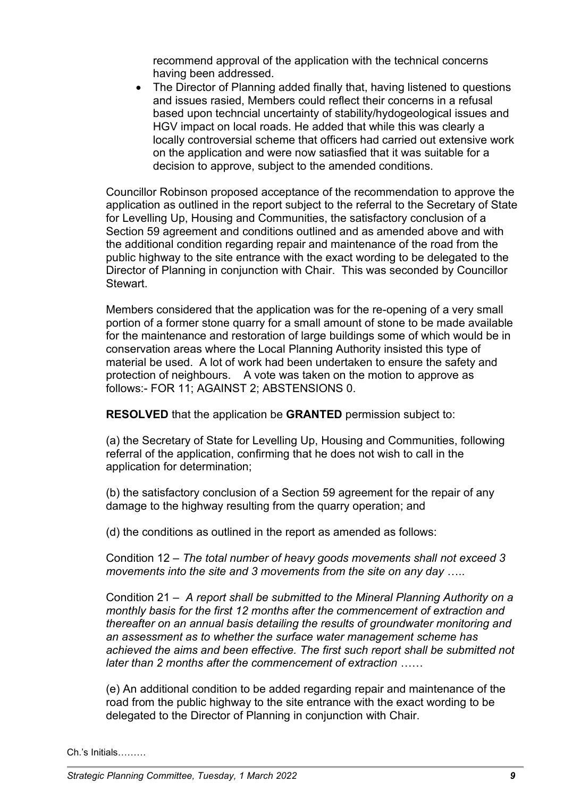recommend approval of the application with the technical concerns having been addressed.

• The Director of Planning added finally that, having listened to questions and issues rasied, Members could reflect their concerns in a refusal based upon techncial uncertainty of stability/hydogeological issues and HGV impact on local roads. He added that while this was clearly a locally controversial scheme that officers had carried out extensive work on the application and were now satiasfied that it was suitable for a decision to approve, subject to the amended conditions.

Councillor Robinson proposed acceptance of the recommendation to approve the application as outlined in the report subject to the referral to the Secretary of State for Levelling Up, Housing and Communities, the satisfactory conclusion of a Section 59 agreement and conditions outlined and as amended above and with the additional condition regarding repair and maintenance of the road from the public highway to the site entrance with the exact wording to be delegated to the Director of Planning in conjunction with Chair. This was seconded by Councillor Stewart.

Members considered that the application was for the re-opening of a very small portion of a former stone quarry for a small amount of stone to be made available for the maintenance and restoration of large buildings some of which would be in conservation areas where the Local Planning Authority insisted this type of material be used. A lot of work had been undertaken to ensure the safety and protection of neighbours. A vote was taken on the motion to approve as follows:- FOR 11; AGAINST 2; ABSTENSIONS 0.

**RESOLVED** that the application be **GRANTED** permission subject to:

(a) the Secretary of State for Levelling Up, Housing and Communities, following referral of the application, confirming that he does not wish to call in the application for determination;

(b) the satisfactory conclusion of a Section 59 agreement for the repair of any damage to the highway resulting from the quarry operation; and

(d) the conditions as outlined in the report as amended as follows:

Condition 12 – *The total number of heavy goods movements shall not exceed 3 movements into the site and 3 movements from the site on any day* …..

Condition 21 – *A report shall be submitted to the Mineral Planning Authority on a monthly basis for the first 12 months after the commencement of extraction and thereafter on an annual basis detailing the results of groundwater monitoring and an assessment as to whether the surface water management scheme has achieved the aims and been effective. The first such report shall be submitted not later than 2 months after the commencement of extraction* ……

(e) An additional condition to be added regarding repair and maintenance of the road from the public highway to the site entrance with the exact wording to be delegated to the Director of Planning in conjunction with Chair.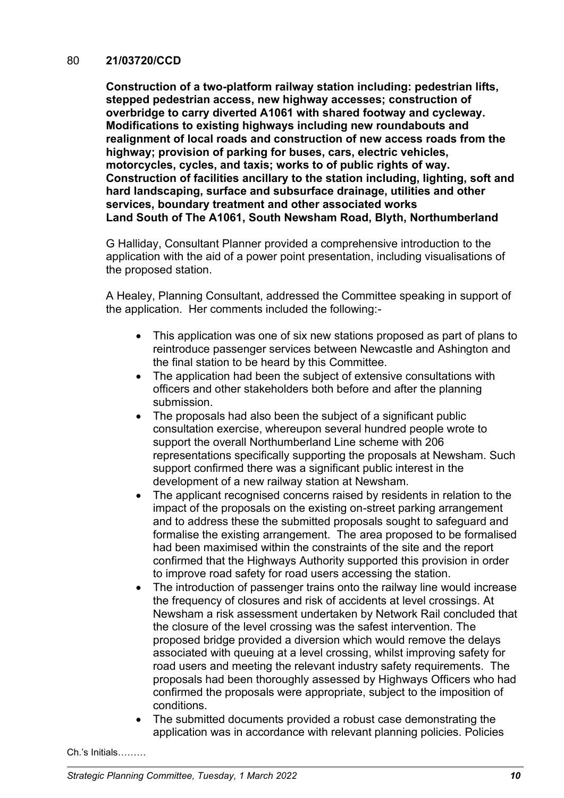#### 80 **21/03720/CCD**

**Construction of a two-platform railway station including: pedestrian lifts, stepped pedestrian access, new highway accesses; construction of overbridge to carry diverted A1061 with shared footway and cycleway. Modifications to existing highways including new roundabouts and realignment of local roads and construction of new access roads from the highway; provision of parking for buses, cars, electric vehicles, motorcycles, cycles, and taxis; works to of public rights of way. Construction of facilities ancillary to the station including, lighting, soft and hard landscaping, surface and subsurface drainage, utilities and other services, boundary treatment and other associated works Land South of The A1061, South Newsham Road, Blyth, Northumberland**

G Halliday, Consultant Planner provided a comprehensive introduction to the application with the aid of a power point presentation, including visualisations of the proposed station.

A Healey, Planning Consultant, addressed the Committee speaking in support of the application. Her comments included the following:-

- This application was one of six new stations proposed as part of plans to reintroduce passenger services between Newcastle and Ashington and the final station to be heard by this Committee.
- The application had been the subject of extensive consultations with officers and other stakeholders both before and after the planning submission.
- The proposals had also been the subject of a significant public consultation exercise, whereupon several hundred people wrote to support the overall Northumberland Line scheme with 206 representations specifically supporting the proposals at Newsham. Such support confirmed there was a significant public interest in the development of a new railway station at Newsham.
- The applicant recognised concerns raised by residents in relation to the impact of the proposals on the existing on-street parking arrangement and to address these the submitted proposals sought to safeguard and formalise the existing arrangement. The area proposed to be formalised had been maximised within the constraints of the site and the report confirmed that the Highways Authority supported this provision in order to improve road safety for road users accessing the station.
- The introduction of passenger trains onto the railway line would increase the frequency of closures and risk of accidents at level crossings. At Newsham a risk assessment undertaken by Network Rail concluded that the closure of the level crossing was the safest intervention. The proposed bridge provided a diversion which would remove the delays associated with queuing at a level crossing, whilst improving safety for road users and meeting the relevant industry safety requirements. The proposals had been thoroughly assessed by Highways Officers who had confirmed the proposals were appropriate, subject to the imposition of conditions.
- The submitted documents provided a robust case demonstrating the application was in accordance with relevant planning policies. Policies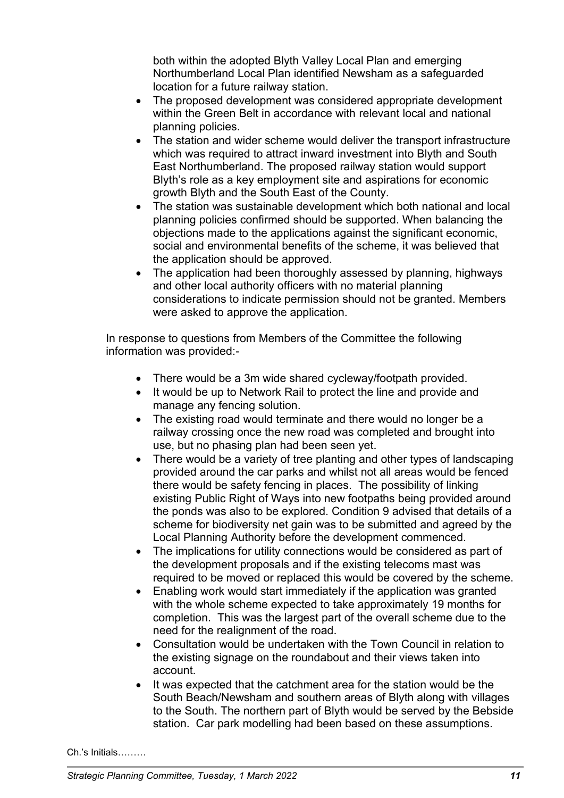both within the adopted Blyth Valley Local Plan and emerging Northumberland Local Plan identified Newsham as a safeguarded location for a future railway station.

- The proposed development was considered appropriate development within the Green Belt in accordance with relevant local and national planning policies.
- The station and wider scheme would deliver the transport infrastructure which was required to attract inward investment into Blyth and South East Northumberland. The proposed railway station would support Blyth's role as a key employment site and aspirations for economic growth Blyth and the South East of the County.
- The station was sustainable development which both national and local planning policies confirmed should be supported. When balancing the objections made to the applications against the significant economic, social and environmental benefits of the scheme, it was believed that the application should be approved.
- The application had been thoroughly assessed by planning, highways and other local authority officers with no material planning considerations to indicate permission should not be granted. Members were asked to approve the application.

In response to questions from Members of the Committee the following information was provided:-

- There would be a 3m wide shared cycleway/footpath provided.
- It would be up to Network Rail to protect the line and provide and manage any fencing solution.
- The existing road would terminate and there would no longer be a railway crossing once the new road was completed and brought into use, but no phasing plan had been seen yet.
- There would be a variety of tree planting and other types of landscaping provided around the car parks and whilst not all areas would be fenced there would be safety fencing in places. The possibility of linking existing Public Right of Ways into new footpaths being provided around the ponds was also to be explored. Condition 9 advised that details of a scheme for biodiversity net gain was to be submitted and agreed by the Local Planning Authority before the development commenced.
- The implications for utility connections would be considered as part of the development proposals and if the existing telecoms mast was required to be moved or replaced this would be covered by the scheme.
- Enabling work would start immediately if the application was granted with the whole scheme expected to take approximately 19 months for completion. This was the largest part of the overall scheme due to the need for the realignment of the road.
- Consultation would be undertaken with the Town Council in relation to the existing signage on the roundabout and their views taken into account.
- It was expected that the catchment area for the station would be the South Beach/Newsham and southern areas of Blyth along with villages to the South. The northern part of Blyth would be served by the Bebside station. Car park modelling had been based on these assumptions.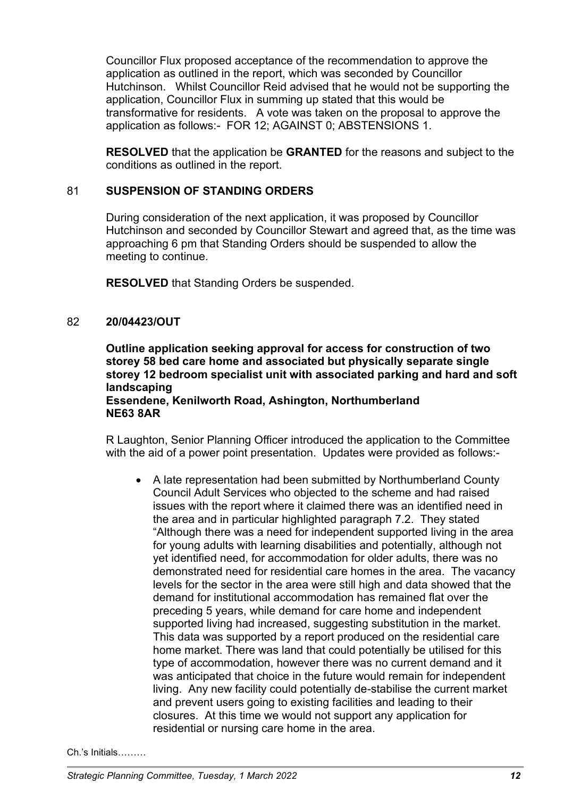Councillor Flux proposed acceptance of the recommendation to approve the application as outlined in the report, which was seconded by Councillor Hutchinson. Whilst Councillor Reid advised that he would not be supporting the application, Councillor Flux in summing up stated that this would be transformative for residents. A vote was taken on the proposal to approve the application as follows:- FOR 12; AGAINST 0; ABSTENSIONS 1.

**RESOLVED** that the application be **GRANTED** for the reasons and subject to the conditions as outlined in the report.

### 81 **SUSPENSION OF STANDING ORDERS**

During consideration of the next application, it was proposed by Councillor Hutchinson and seconded by Councillor Stewart and agreed that, as the time was approaching 6 pm that Standing Orders should be suspended to allow the meeting to continue.

**RESOLVED** that Standing Orders be suspended.

### 82 **20/04423/OUT**

**Outline application seeking approval for access for construction of two storey 58 bed care home and associated but physically separate single storey 12 bedroom specialist unit with associated parking and hard and soft landscaping**

# **Essendene, Kenilworth Road, Ashington, Northumberland NE63 8AR**

R Laughton, Senior Planning Officer introduced the application to the Committee with the aid of a power point presentation. Updates were provided as follows:-

• A late representation had been submitted by Northumberland County Council Adult Services who objected to the scheme and had raised issues with the report where it claimed there was an identified need in the area and in particular highlighted paragraph 7.2. They stated "Although there was a need for independent supported living in the area for young adults with learning disabilities and potentially, although not yet identified need, for accommodation for older adults, there was no demonstrated need for residential care homes in the area. The vacancy levels for the sector in the area were still high and data showed that the demand for institutional accommodation has remained flat over the preceding 5 years, while demand for care home and independent supported living had increased, suggesting substitution in the market. This data was supported by a report produced on the residential care home market. There was land that could potentially be utilised for this type of accommodation, however there was no current demand and it was anticipated that choice in the future would remain for independent living. Any new facility could potentially de-stabilise the current market and prevent users going to existing facilities and leading to their closures. At this time we would not support any application for residential or nursing care home in the area.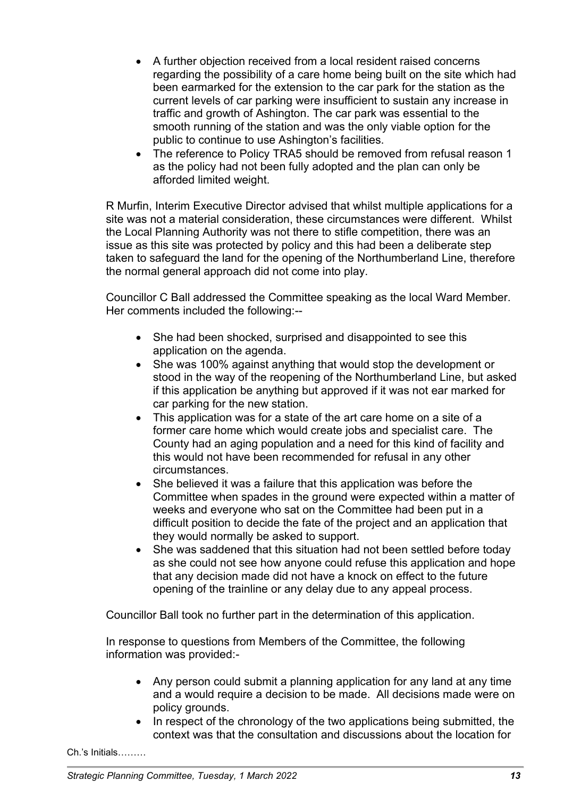- A further objection received from a local resident raised concerns regarding the possibility of a care home being built on the site which had been earmarked for the extension to the car park for the station as the current levels of car parking were insufficient to sustain any increase in traffic and growth of Ashington. The car park was essential to the smooth running of the station and was the only viable option for the public to continue to use Ashington's facilities.
- The reference to Policy TRA5 should be removed from refusal reason 1 as the policy had not been fully adopted and the plan can only be afforded limited weight.

R Murfin, Interim Executive Director advised that whilst multiple applications for a site was not a material consideration, these circumstances were different. Whilst the Local Planning Authority was not there to stifle competition, there was an issue as this site was protected by policy and this had been a deliberate step taken to safeguard the land for the opening of the Northumberland Line, therefore the normal general approach did not come into play.

Councillor C Ball addressed the Committee speaking as the local Ward Member. Her comments included the following:--

- She had been shocked, surprised and disappointed to see this application on the agenda.
- She was 100% against anything that would stop the development or stood in the way of the reopening of the Northumberland Line, but asked if this application be anything but approved if it was not ear marked for car parking for the new station.
- This application was for a state of the art care home on a site of a former care home which would create jobs and specialist care. The County had an aging population and a need for this kind of facility and this would not have been recommended for refusal in any other circumstances.
- She believed it was a failure that this application was before the Committee when spades in the ground were expected within a matter of weeks and everyone who sat on the Committee had been put in a difficult position to decide the fate of the project and an application that they would normally be asked to support.
- She was saddened that this situation had not been settled before today as she could not see how anyone could refuse this application and hope that any decision made did not have a knock on effect to the future opening of the trainline or any delay due to any appeal process.

Councillor Ball took no further part in the determination of this application.

In response to questions from Members of the Committee, the following information was provided:-

- Any person could submit a planning application for any land at any time and a would require a decision to be made. All decisions made were on policy grounds.
- In respect of the chronology of the two applications being submitted, the context was that the consultation and discussions about the location for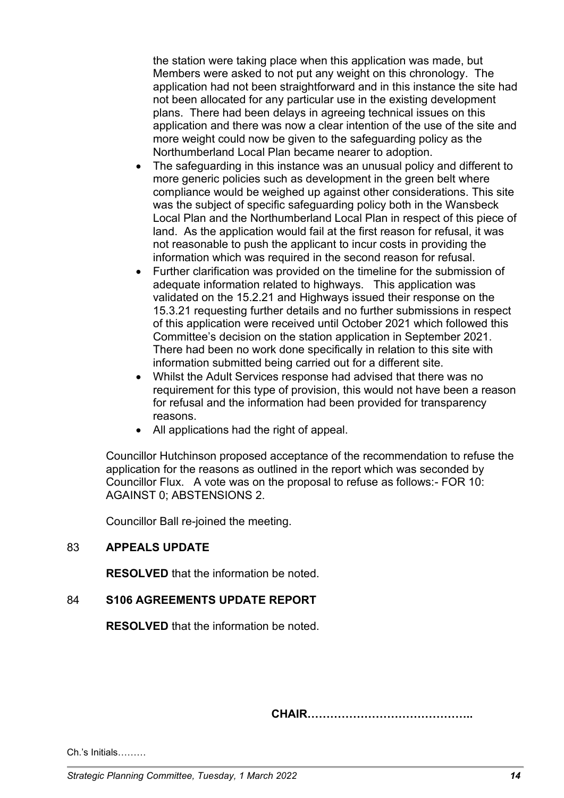the station were taking place when this application was made, but Members were asked to not put any weight on this chronology. The application had not been straightforward and in this instance the site had not been allocated for any particular use in the existing development plans. There had been delays in agreeing technical issues on this application and there was now a clear intention of the use of the site and more weight could now be given to the safeguarding policy as the Northumberland Local Plan became nearer to adoption.

- The safeguarding in this instance was an unusual policy and different to more generic policies such as development in the green belt where compliance would be weighed up against other considerations. This site was the subject of specific safeguarding policy both in the Wansbeck Local Plan and the Northumberland Local Plan in respect of this piece of land. As the application would fail at the first reason for refusal, it was not reasonable to push the applicant to incur costs in providing the information which was required in the second reason for refusal.
- Further clarification was provided on the timeline for the submission of adequate information related to highways. This application was validated on the 15.2.21 and Highways issued their response on the 15.3.21 requesting further details and no further submissions in respect of this application were received until October 2021 which followed this Committee's decision on the station application in September 2021. There had been no work done specifically in relation to this site with information submitted being carried out for a different site.
- Whilst the Adult Services response had advised that there was no requirement for this type of provision, this would not have been a reason for refusal and the information had been provided for transparency reasons.
- All applications had the right of appeal.

Councillor Hutchinson proposed acceptance of the recommendation to refuse the application for the reasons as outlined in the report which was seconded by Councillor Flux. A vote was on the proposal to refuse as follows:- FOR 10: AGAINST 0; ABSTENSIONS 2.

Councillor Ball re-joined the meeting.

### 83 **APPEALS UPDATE**

**RESOLVED** that the information be noted.

### 84 **S106 AGREEMENTS UPDATE REPORT**

**RESOLVED** that the information be noted.

**CHAIR……………………………………..**